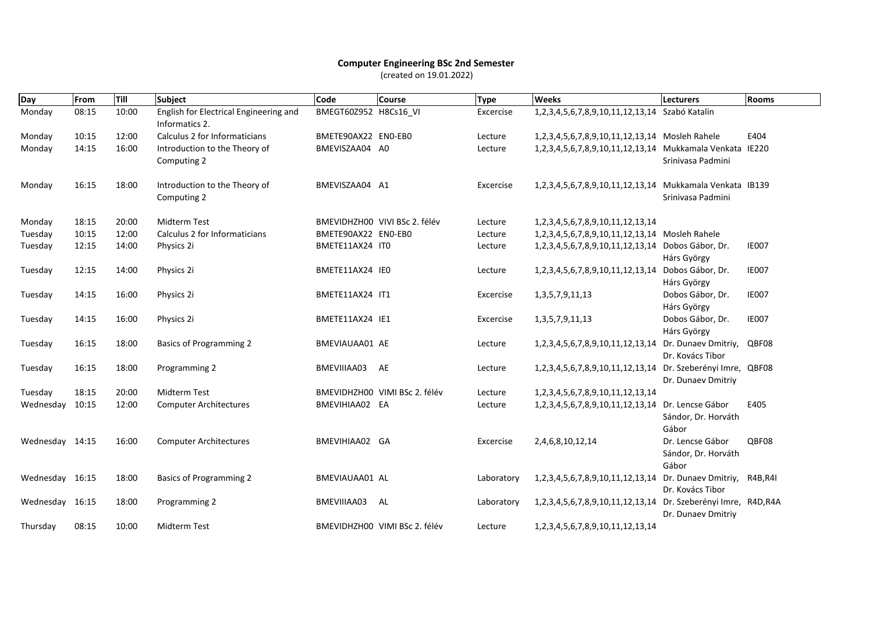## **Computer Engineering BSc 2nd Semester** (created on 19.01.2022)

| Day             | From  | Till  | <b>Subject</b>                                           | Code                  | <b>Course</b>                 | <b>Type</b> | <b>Weeks</b>                                                | <b>Lecturers</b>                                    | Rooms        |
|-----------------|-------|-------|----------------------------------------------------------|-----------------------|-------------------------------|-------------|-------------------------------------------------------------|-----------------------------------------------------|--------------|
| Monday          | 08:15 | 10:00 | English for Electrical Engineering and<br>Informatics 2. | BMEGT60Z952 H8Cs16 VI |                               | Excercise   | 1,2,3,4,5,6,7,8,9,10,11,12,13,14 Szabó Katalin              |                                                     |              |
| Monday          | 10:15 | 12:00 | Calculus 2 for Informaticians                            | BMETE90AX22 EN0-EB0   |                               | Lecture     | 1,2,3,4,5,6,7,8,9,10,11,12,13,14 Mosleh Rahele              |                                                     | E404         |
| Monday          | 14:15 | 16:00 | Introduction to the Theory of<br>Computing 2             | BMEVISZAA04 A0        |                               | Lecture     | 1,2,3,4,5,6,7,8,9,10,11,12,13,14 Mukkamala Venkata IE220    | Srinivasa Padmini                                   |              |
| Monday          | 16:15 | 18:00 | Introduction to the Theory of<br>Computing 2             | BMEVISZAA04 A1        |                               | Excercise   | 1,2,3,4,5,6,7,8,9,10,11,12,13,14 Mukkamala Venkata IB139    | Srinivasa Padmini                                   |              |
| Monday          | 18:15 | 20:00 | <b>Midterm Test</b>                                      |                       | BMEVIDHZH00 VIVI BSc 2. félév | Lecture     | 1, 2, 3, 4, 5, 6, 7, 8, 9, 10, 11, 12, 13, 14               |                                                     |              |
| Tuesday         | 10:15 | 12:00 | Calculus 2 for Informaticians                            | BMETE90AX22 EN0-EB0   |                               | Lecture     | 1,2,3,4,5,6,7,8,9,10,11,12,13,14 Mosleh Rahele              |                                                     |              |
| Tuesday         | 12:15 | 14:00 | Physics 2i                                               | BMETE11AX24 IT0       |                               | Lecture     | 1,2,3,4,5,6,7,8,9,10,11,12,13,14 Dobos Gábor, Dr.           | Hárs György                                         | <b>IE007</b> |
| Tuesday         | 12:15 | 14:00 | Physics 2i                                               | BMETE11AX24 IEO       |                               | Lecture     | 1,2,3,4,5,6,7,8,9,10,11,12,13,14                            | Dobos Gábor, Dr.<br>Hárs György                     | <b>IE007</b> |
| Tuesday         | 14:15 | 16:00 | Physics 2i                                               | BMETE11AX24 IT1       |                               | Excercise   | 1, 3, 5, 7, 9, 11, 13                                       | Dobos Gábor, Dr.<br>Hárs György                     | <b>IE007</b> |
| Tuesday         | 14:15 | 16:00 | Physics 2i                                               | BMETE11AX24 IE1       |                               | Excercise   | 1, 3, 5, 7, 9, 11, 13                                       | Dobos Gábor, Dr.<br>Hárs György                     | <b>IE007</b> |
| Tuesday         | 16:15 | 18:00 | <b>Basics of Programming 2</b>                           | BMEVIAUAA01 AE        |                               | Lecture     | 1, 2, 3, 4, 5, 6, 7, 8, 9, 10, 11, 12, 13, 14               | Dr. Dunaev Dmitriy,<br>Dr. Kovács Tibor             | QBF08        |
| Tuesday         | 16:15 | 18:00 | Programming 2                                            | BMEVIIIAA03           | AE                            | Lecture     | 1,2,3,4,5,6,7,8,9,10,11,12,13,14 Dr. Szeberényi Imre, QBF08 | Dr. Dunaev Dmitriy                                  |              |
| Tuesday         | 18:15 | 20:00 | <b>Midterm Test</b>                                      |                       | BMEVIDHZH00 VIMI BSc 2. félév | Lecture     | 1, 2, 3, 4, 5, 6, 7, 8, 9, 10, 11, 12, 13, 14               |                                                     |              |
| Wednesday       | 10:15 | 12:00 | <b>Computer Architectures</b>                            | BMEVIHIAA02 EA        |                               | Lecture     | 1,2,3,4,5,6,7,8,9,10,11,12,13,14 Dr. Lencse Gábor           | Sándor, Dr. Horváth<br>Gábor                        | E405         |
| Wednesday 14:15 |       | 16:00 | <b>Computer Architectures</b>                            | BMEVIHIAA02 GA        |                               | Excercise   | 2,4,6,8,10,12,14                                            | Dr. Lencse Gábor<br>Sándor, Dr. Horváth<br>Gábor    | QBF08        |
| Wednesday 16:15 |       | 18:00 | <b>Basics of Programming 2</b>                           | BMEVIAUAA01 AL        |                               | Laboratory  | 1,2,3,4,5,6,7,8,9,10,11,12,13,14 Dr. Dunaev Dmitriy,        | Dr. Kovács Tibor                                    | R4B,R4I      |
| Wednesday 16:15 |       | 18:00 | Programming 2                                            | BMEVIIIAA03 AL        |                               | Laboratory  | 1, 2, 3, 4, 5, 6, 7, 8, 9, 10, 11, 12, 13, 14               | Dr. Szeberényi Imre, R4D, R4A<br>Dr. Dunaev Dmitriy |              |
| Thursday        | 08:15 | 10:00 | Midterm Test                                             |                       | BMEVIDHZH00 VIMI BSc 2. félév | Lecture     | 1, 2, 3, 4, 5, 6, 7, 8, 9, 10, 11, 12, 13, 14               |                                                     |              |